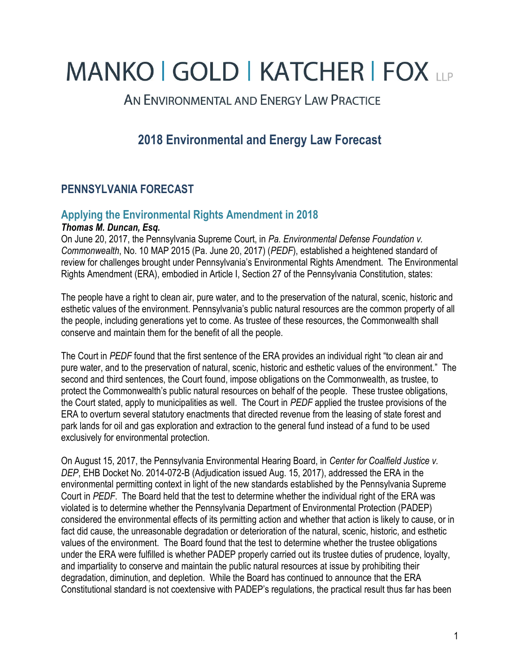# **MANKO | GOLD | KATCHER | FOX LLP**

AN ENVIRONMENTAL AND ENERGY LAW PRACTICE

## **2018 Environmental and Energy Law Forecast**

## **PENNSYLVANIA FORECAST**

#### **Applying the Environmental Rights Amendment in 2018** *Thomas M. Duncan, Esq.*

On June 20, 2017, the Pennsylvania Supreme Court, in *Pa. Environmental Defense Foundation v. Commonwealth*, No. 10 MAP 2015 (Pa. June 20, 2017) (*PEDF*), established a heightened standard of review for challenges brought under Pennsylvania's Environmental Rights Amendment. The Environmental Rights Amendment (ERA), embodied in Article I, Section 27 of the Pennsylvania Constitution, states:

The people have a right to clean air, pure water, and to the preservation of the natural, scenic, historic and esthetic values of the environment. Pennsylvania's public natural resources are the common property of all the people, including generations yet to come. As trustee of these resources, the Commonwealth shall conserve and maintain them for the benefit of all the people.

The Court in *PEDF* found that the first sentence of the ERA provides an individual right "to clean air and pure water, and to the preservation of natural, scenic, historic and esthetic values of the environment." The second and third sentences, the Court found, impose obligations on the Commonwealth, as trustee, to protect the Commonwealth's public natural resources on behalf of the people. These trustee obligations, the Court stated, apply to municipalities as well. The Court in *PEDF* applied the trustee provisions of the ERA to overturn several statutory enactments that directed revenue from the leasing of state forest and park lands for oil and gas exploration and extraction to the general fund instead of a fund to be used exclusively for environmental protection.

On August 15, 2017, the Pennsylvania Environmental Hearing Board, in *Center for Coalfield Justice v. DEP*, EHB Docket No. 2014-072-B (Adjudication issued Aug. 15, 2017), addressed the ERA in the environmental permitting context in light of the new standards established by the Pennsylvania Supreme Court in *PEDF*. The Board held that the test to determine whether the individual right of the ERA was violated is to determine whether the Pennsylvania Department of Environmental Protection (PADEP) considered the environmental effects of its permitting action and whether that action is likely to cause, or in fact did cause, the unreasonable degradation or deterioration of the natural, scenic, historic, and esthetic values of the environment. The Board found that the test to determine whether the trustee obligations under the ERA were fulfilled is whether PADEP properly carried out its trustee duties of prudence, loyalty, and impartiality to conserve and maintain the public natural resources at issue by prohibiting their degradation, diminution, and depletion. While the Board has continued to announce that the ERA Constitutional standard is not coextensive with PADEP's regulations, the practical result thus far has been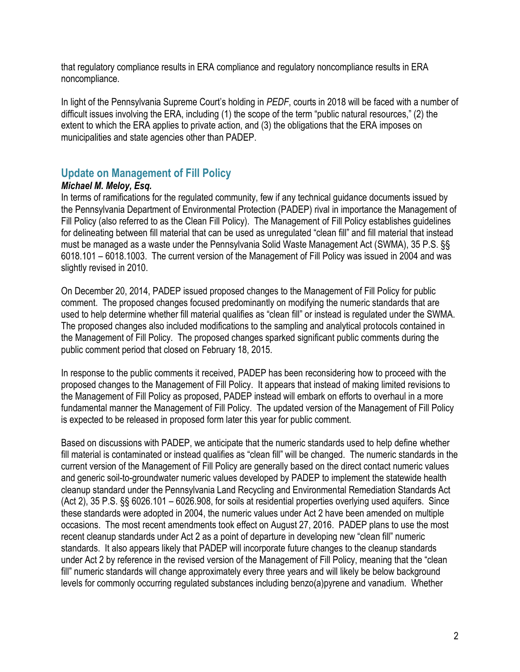that regulatory compliance results in ERA compliance and regulatory noncompliance results in ERA noncompliance.

In light of the Pennsylvania Supreme Court's holding in *PEDF*, courts in 2018 will be faced with a number of difficult issues involving the ERA, including (1) the scope of the term "public natural resources," (2) the extent to which the ERA applies to private action, and (3) the obligations that the ERA imposes on municipalities and state agencies other than PADEP.

## **Update on Management of Fill Policy**

### *Michael M. Meloy, Esq.*

In terms of ramifications for the regulated community, few if any technical guidance documents issued by the Pennsylvania Department of Environmental Protection (PADEP) rival in importance the Management of Fill Policy (also referred to as the Clean Fill Policy). The Management of Fill Policy establishes guidelines for delineating between fill material that can be used as unregulated "clean fill" and fill material that instead must be managed as a waste under the Pennsylvania Solid Waste Management Act (SWMA), 35 P.S. §§ 6018.101 – 6018.1003. The current version of the Management of Fill Policy was issued in 2004 and was slightly revised in 2010.

On December 20, 2014, PADEP issued proposed changes to the Management of Fill Policy for public comment. The proposed changes focused predominantly on modifying the numeric standards that are used to help determine whether fill material qualifies as "clean fill" or instead is regulated under the SWMA. The proposed changes also included modifications to the sampling and analytical protocols contained in the Management of Fill Policy. The proposed changes sparked significant public comments during the public comment period that closed on February 18, 2015.

In response to the public comments it received, PADEP has been reconsidering how to proceed with the proposed changes to the Management of Fill Policy. It appears that instead of making limited revisions to the Management of Fill Policy as proposed, PADEP instead will embark on efforts to overhaul in a more fundamental manner the Management of Fill Policy. The updated version of the Management of Fill Policy is expected to be released in proposed form later this year for public comment.

Based on discussions with PADEP, we anticipate that the numeric standards used to help define whether fill material is contaminated or instead qualifies as "clean fill" will be changed. The numeric standards in the current version of the Management of Fill Policy are generally based on the direct contact numeric values and generic soil-to-groundwater numeric values developed by PADEP to implement the statewide health cleanup standard under the Pennsylvania Land Recycling and Environmental Remediation Standards Act (Act 2), 35 P.S. §§ 6026.101 – 6026.908, for soils at residential properties overlying used aquifers. Since these standards were adopted in 2004, the numeric values under Act 2 have been amended on multiple occasions. The most recent amendments took effect on August 27, 2016. PADEP plans to use the most recent cleanup standards under Act 2 as a point of departure in developing new "clean fill" numeric standards. It also appears likely that PADEP will incorporate future changes to the cleanup standards under Act 2 by reference in the revised version of the Management of Fill Policy, meaning that the "clean fill" numeric standards will change approximately every three years and will likely be below background levels for commonly occurring regulated substances including benzo(a)pyrene and vanadium. Whether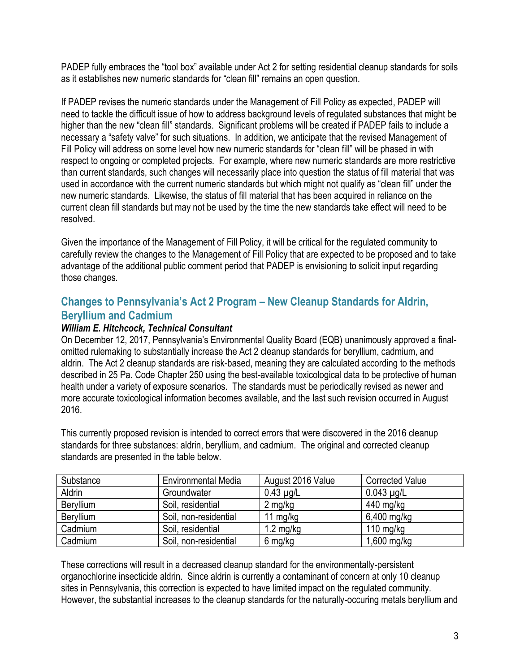PADEP fully embraces the "tool box" available under Act 2 for setting residential cleanup standards for soils as it establishes new numeric standards for "clean fill" remains an open question.

If PADEP revises the numeric standards under the Management of Fill Policy as expected, PADEP will need to tackle the difficult issue of how to address background levels of regulated substances that might be higher than the new "clean fill" standards. Significant problems will be created if PADEP fails to include a necessary a "safety valve" for such situations. In addition, we anticipate that the revised Management of Fill Policy will address on some level how new numeric standards for "clean fill" will be phased in with respect to ongoing or completed projects. For example, where new numeric standards are more restrictive than current standards, such changes will necessarily place into question the status of fill material that was used in accordance with the current numeric standards but which might not qualify as "clean fill" under the new numeric standards. Likewise, the status of fill material that has been acquired in reliance on the current clean fill standards but may not be used by the time the new standards take effect will need to be resolved.

Given the importance of the Management of Fill Policy, it will be critical for the regulated community to carefully review the changes to the Management of Fill Policy that are expected to be proposed and to take advantage of the additional public comment period that PADEP is envisioning to solicit input regarding those changes.

## **Changes to Pennsylvania's Act 2 Program – New Cleanup Standards for Aldrin, Beryllium and Cadmium**

### *William E. Hitchcock, Technical Consultant*

On December 12, 2017, Pennsylvania's Environmental Quality Board (EQB) unanimously approved a finalomitted rulemaking to substantially increase the Act 2 cleanup standards for beryllium, cadmium, and aldrin. The Act 2 cleanup standards are risk-based, meaning they are calculated according to the methods described in 25 Pa. Code Chapter 250 using the best-available toxicological data to be protective of human health under a variety of exposure scenarios. The standards must be periodically revised as newer and more accurate toxicological information becomes available, and the last such revision occurred in August 2016.

This currently proposed revision is intended to correct errors that were discovered in the 2016 cleanup standards for three substances: aldrin, beryllium, and cadmium. The original and corrected cleanup standards are presented in the table below.

| Substance | <b>Environmental Media</b> | August 2016 Value   | <b>Corrected Value</b> |
|-----------|----------------------------|---------------------|------------------------|
| Aldrin    | Groundwater                | $0.43 \mu g/L$      | $0.043 \mu g/L$        |
| Beryllium | Soil, residential          | $2 \text{ mg/kg}$   | 440 mg/kg              |
| Beryllium | Soil, non-residential      | 11 $mg/kg$          | $6,400$ mg/kg          |
| Cadmium   | Soil, residential          | $1.2 \text{ mg/kg}$ | 110 mg/kg              |
| Cadmium   | Soil, non-residential      | 6 mg/kg             | $1,600$ mg/kg          |

These corrections will result in a decreased cleanup standard for the environmentally-persistent organochlorine insecticide aldrin. Since aldrin is currently a contaminant of concern at only 10 cleanup sites in Pennsylvania, this correction is expected to have limited impact on the regulated community. However, the substantial increases to the cleanup standards for the naturally-occuring metals beryllium and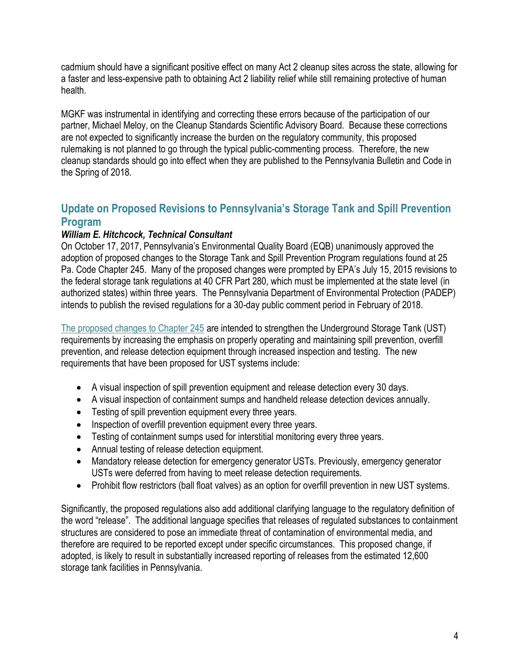cadmium should have a significant positive effect on many Act 2 cleanup sites across the state, allowing for a faster and less-expensive path to obtaining Act 2 liability relief while still remaining protective of human health.

MGKF was instrumental in identifying and correcting these errors because of the participation of our partner, Michael Meloy, on the Cleanup Standards Scientific Advisory Board. Because these corrections are not expected to significantly increase the burden on the regulatory community, this proposed rulemaking is not planned to go through the typical public-commenting process. Therefore, the new cleanup standards should go into effect when they are published to the Pennsylvania Bulletin and Code in the Spring of 2018.

## **Update on Proposed Revisions to Pennsylvania's Storage Tank and Spill Prevention Program**

#### *William E. Hitchcock, Technical Consultant*

On October 17, 2017, Pennsylvania's Environmental Quality Board (EQB) unanimously approved the adoption of proposed changes to the Storage Tank and Spill Prevention Program regulations found at 25 Pa. Code Chapter 245. Many of the proposed changes were prompted by EPA's July 15, 2015 revisions to the federal storage tank regulations at 40 CFR Part 280, which must be implemented at the state level (in authorized states) within three years. The Pennsylvania Department of Environmental Protection (PADEP) intends to publish the revised regulations for a 30-day public comment period in February of 2018.

[The proposed changes to Chapter 245](http://files.dep.state.pa.us/PublicParticipation/Public%20Participation%20Center/PubPartCenterPortalFiles/Environmental%20Quality%20Board/2017/October%2017/7-530_UST%20Proposed/03_7-530_UST%20Proposed_Annex%20A.pdf) are intended to strengthen the Underground Storage Tank (UST) requirements by increasing the emphasis on properly operating and maintaining spill prevention, overfill prevention, and release detection equipment through increased inspection and testing. The new requirements that have been proposed for UST systems include:

- A visual inspection of spill prevention equipment and release detection every 30 days.
- A visual inspection of containment sumps and handheld release detection devices annually.
- Testing of spill prevention equipment every three years.
- Inspection of overfill prevention equipment every three years.
- Testing of containment sumps used for interstitial monitoring every three years.
- Annual testing of release detection equipment.
- Mandatory release detection for emergency generator USTs. Previously, emergency generator USTs were deferred from having to meet release detection requirements.
- Prohibit flow restrictors (ball float valves) as an option for overfill prevention in new UST systems.

Significantly, the proposed regulations also add additional clarifying language to the regulatory definition of the word "release". The additional language specifies that releases of regulated substances to containment structures are considered to pose an immediate threat of contamination of environmental media, and therefore are required to be reported except under specific circumstances. This proposed change, if adopted, is likely to result in substantially increased reporting of releases from the estimated 12,600 storage tank facilities in Pennsylvania.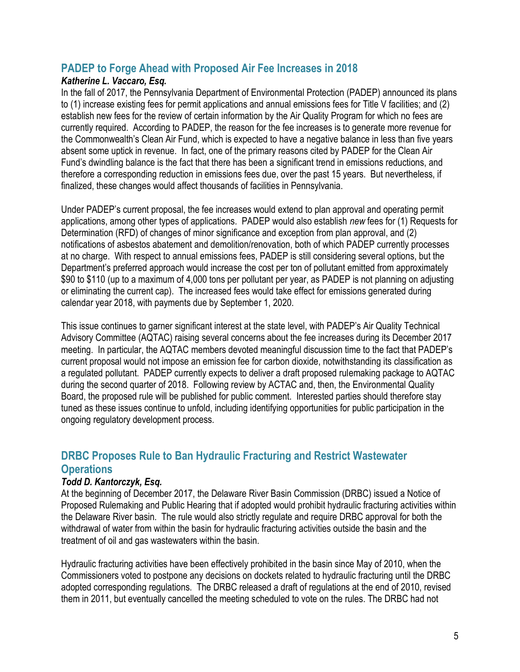## **PADEP to Forge Ahead with Proposed Air Fee Increases in 2018**

### *Katherine L. Vaccaro, Esq.*

In the fall of 2017, the Pennsylvania Department of Environmental Protection (PADEP) announced its plans to (1) increase existing fees for permit applications and annual emissions fees for Title V facilities; and (2) establish new fees for the review of certain information by the Air Quality Program for which no fees are currently required. According to PADEP, the reason for the fee increases is to generate more revenue for the Commonwealth's Clean Air Fund, which is expected to have a negative balance in less than five years absent some uptick in revenue. In fact, one of the primary reasons cited by PADEP for the Clean Air Fund's dwindling balance is the fact that there has been a significant trend in emissions reductions, and therefore a corresponding reduction in emissions fees due, over the past 15 years. But nevertheless, if finalized, these changes would affect thousands of facilities in Pennsylvania.

Under PADEP's current proposal, the fee increases would extend to plan approval and operating permit applications, among other types of applications. PADEP would also establish *new* fees for (1) Requests for Determination (RFD) of changes of minor significance and exception from plan approval, and (2) notifications of asbestos abatement and demolition/renovation, both of which PADEP currently processes at no charge. With respect to annual emissions fees, PADEP is still considering several options, but the Department's preferred approach would increase the cost per ton of pollutant emitted from approximately \$90 to \$110 (up to a maximum of 4,000 tons per pollutant per year, as PADEP is not planning on adjusting or eliminating the current cap). The increased fees would take effect for emissions generated during calendar year 2018, with payments due by September 1, 2020.

This issue continues to garner significant interest at the state level, with PADEP's Air Quality Technical Advisory Committee (AQTAC) raising several concerns about the fee increases during its December 2017 meeting. In particular, the AQTAC members devoted meaningful discussion time to the fact that PADEP's current proposal would not impose an emission fee for carbon dioxide, notwithstanding its classification as a regulated pollutant. PADEP currently expects to deliver a draft proposed rulemaking package to AQTAC during the second quarter of 2018. Following review by ACTAC and, then, the Environmental Quality Board, the proposed rule will be published for public comment. Interested parties should therefore stay tuned as these issues continue to unfold, including identifying opportunities for public participation in the ongoing regulatory development process.

## **DRBC Proposes Rule to Ban Hydraulic Fracturing and Restrict Wastewater Operations**

## *Todd D. Kantorczyk, Esq.*

At the beginning of December 2017, the Delaware River Basin Commission (DRBC) issued a Notice of Proposed Rulemaking and Public Hearing that if adopted would prohibit hydraulic fracturing activities within the Delaware River basin. The rule would also strictly regulate and require DRBC approval for both the withdrawal of water from within the basin for hydraulic fracturing activities outside the basin and the treatment of oil and gas wastewaters within the basin.

Hydraulic fracturing activities have been effectively prohibited in the basin since May of 2010, when the Commissioners voted to postpone any decisions on dockets related to hydraulic fracturing until the DRBC adopted corresponding regulations. The DRBC released a draft of regulations at the end of 2010, revised them in 2011, but eventually cancelled the meeting scheduled to vote on the rules. The DRBC had not